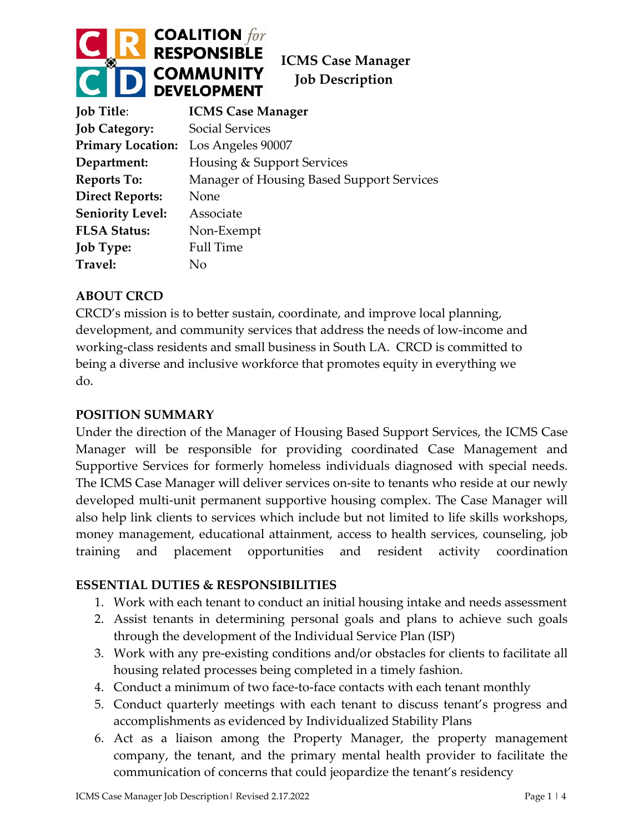

 **Job Description**

| <b>Job Title:</b>        | <b>ICMS Case Manager</b>                  |
|--------------------------|-------------------------------------------|
| <b>Job Category:</b>     | <b>Social Services</b>                    |
| <b>Primary Location:</b> | Los Angeles 90007                         |
| Department:              | Housing & Support Services                |
| <b>Reports To:</b>       | Manager of Housing Based Support Services |
| <b>Direct Reports:</b>   | None                                      |
| <b>Seniority Level:</b>  | Associate                                 |
| <b>FLSA Status:</b>      | Non-Exempt                                |
| <b>Job Type:</b>         | <b>Full Time</b>                          |
| Travel:                  | No                                        |

## **ABOUT CRCD**

CRCD's mission is to better sustain, coordinate, and improve local planning, development, and community services that address the needs of low-income and working-class residents and small business in South LA. CRCD is committed to being a diverse and inclusive workforce that promotes equity in everything we do.

### **POSITION SUMMARY**

Under the direction of the Manager of Housing Based Support Services, the ICMS Case Manager will be responsible for providing coordinated Case Management and Supportive Services for formerly homeless individuals diagnosed with special needs. The ICMS Case Manager will deliver services on-site to tenants who reside at our newly developed multi-unit permanent supportive housing complex. The Case Manager will also help link clients to services which include but not limited to life skills workshops, money management, educational attainment, access to health services, counseling, job training and placement opportunities and resident activity coordination

### **ESSENTIAL DUTIES & RESPONSIBILITIES**

- 1. Work with each tenant to conduct an initial housing intake and needs assessment
- 2. Assist tenants in determining personal goals and plans to achieve such goals through the development of the Individual Service Plan (ISP)
- 3. Work with any pre-existing conditions and/or obstacles for clients to facilitate all housing related processes being completed in a timely fashion.
- 4. Conduct a minimum of two face-to-face contacts with each tenant monthly
- 5. Conduct quarterly meetings with each tenant to discuss tenant's progress and accomplishments as evidenced by Individualized Stability Plans
- 6. Act as a liaison among the Property Manager, the property management company, the tenant, and the primary mental health provider to facilitate the communication of concerns that could jeopardize the tenant's residency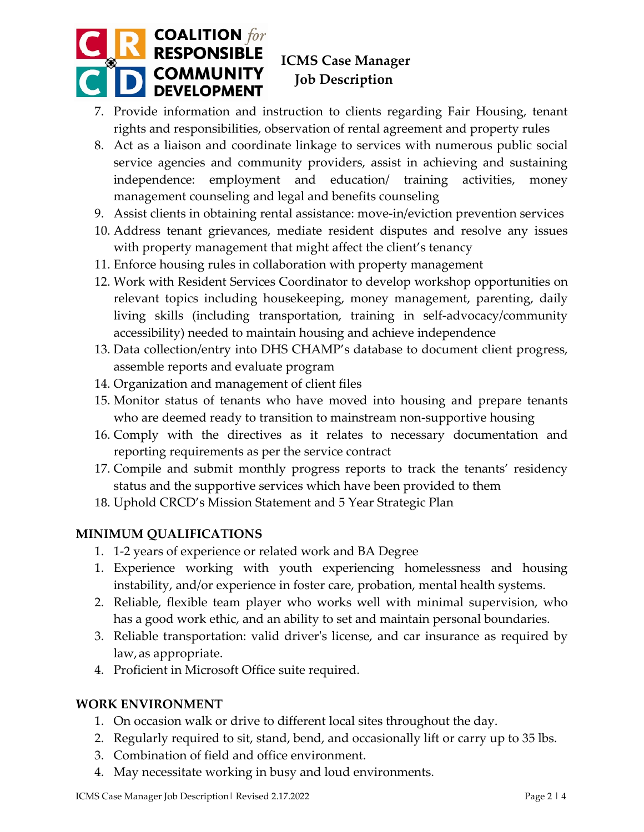

# **Job Description**

- 7. Provide information and instruction to clients regarding Fair Housing, tenant rights and responsibilities, observation of rental agreement and property rules
- 8. Act as a liaison and coordinate linkage to services with numerous public social service agencies and community providers, assist in achieving and sustaining independence: employment and education/ training activities, money management counseling and legal and benefits counseling
- 9. Assist clients in obtaining rental assistance: move-in/eviction prevention services
- 10. Address tenant grievances, mediate resident disputes and resolve any issues with property management that might affect the client's tenancy
- 11. Enforce housing rules in collaboration with property management
- 12. Work with Resident Services Coordinator to develop workshop opportunities on relevant topics including housekeeping, money management, parenting, daily living skills (including transportation, training in self-advocacy/community accessibility) needed to maintain housing and achieve independence
- 13. Data collection/entry into DHS CHAMP's database to document client progress, assemble reports and evaluate program
- 14. Organization and management of client files
- 15. Monitor status of tenants who have moved into housing and prepare tenants who are deemed ready to transition to mainstream non-supportive housing
- 16. Comply with the directives as it relates to necessary documentation and reporting requirements as per the service contract
- 17. Compile and submit monthly progress reports to track the tenants' residency status and the supportive services which have been provided to them
- 18. Uphold CRCD's Mission Statement and 5 Year Strategic Plan

# **MINIMUM QUALIFICATIONS**

- 1. 1-2 years of experience or related work and BA Degree
- 1. Experience working with youth experiencing homelessness and housing instability, and/or experience in foster care, probation, mental health systems.
- 2. Reliable, flexible team player who works well with minimal supervision, who has a good work ethic, and an ability to set and maintain personal boundaries.
- 3. Reliable transportation: valid driver's license, and car insurance as required by law,as appropriate.
- 4. Proficient in Microsoft Office suite required.

## **WORK ENVIRONMENT**

- 1. On occasion walk or drive to different local sites throughout the day.
- 2. Regularly required to sit, stand, bend, and occasionally lift or carry up to 35 lbs.
- 3. Combination of field and office environment.
- 4. May necessitate working in busy and loud environments.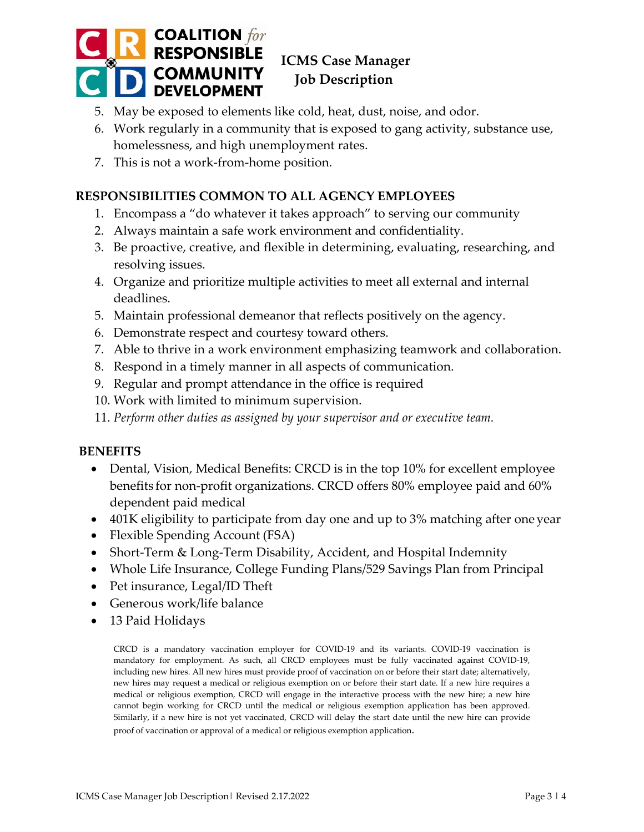

# **Job Description**

- 5. May be exposed to elements like cold, heat, dust, noise, and odor.
- 6. Work regularly in a community that is exposed to gang activity, substance use, homelessness, and high unemployment rates.
- 7. This is not a work-from-home position.

# **RESPONSIBILITIES COMMON TO ALL AGENCY EMPLOYEES**

- 1. Encompass a "do whatever it takes approach" to serving our community
- 2. Always maintain a safe work environment and confidentiality.
- 3. Be proactive, creative, and flexible in determining, evaluating, researching, and resolving issues.
- 4. Organize and prioritize multiple activities to meet all external and internal deadlines.
- 5. Maintain professional demeanor that reflects positively on the agency.
- 6. Demonstrate respect and courtesy toward others.
- 7. Able to thrive in a work environment emphasizing teamwork and collaboration.
- 8. Respond in a timely manner in all aspects of communication.
- 9. Regular and prompt attendance in the office is required
- 10. Work with limited to minimum supervision.
- 11. *Perform other duties as assigned by your supervisor and or executive team.*

### **BENEFITS**

- Dental, Vision, Medical Benefits: CRCD is in the top 10% for excellent employee benefits for non-profit organizations. CRCD offers 80% employee paid and 60% dependent paid medical
- 401K eligibility to participate from day one and up to 3% matching after one year
- Flexible Spending Account (FSA)
- Short-Term & Long-Term Disability, Accident, and Hospital Indemnity
- Whole Life Insurance, College Funding Plans/529 Savings Plan from Principal
- Pet insurance, Legal/ID Theft
- Generous work/life balance
- 13 Paid Holidays

CRCD is a mandatory vaccination employer for COVID-19 and its variants. COVID-19 vaccination is mandatory for employment. As such, all CRCD employees must be fully vaccinated against COVID-19, including new hires. All new hires must provide proof of vaccination on or before their start date; alternatively, new hires may request a medical or religious exemption on or before their start date. If a new hire requires a medical or religious exemption, CRCD will engage in the interactive process with the new hire; a new hire cannot begin working for CRCD until the medical or religious exemption application has been approved. Similarly, if a new hire is not yet vaccinated, CRCD will delay the start date until the new hire can provide proof of vaccination or approval of a medical or religious exemption application.